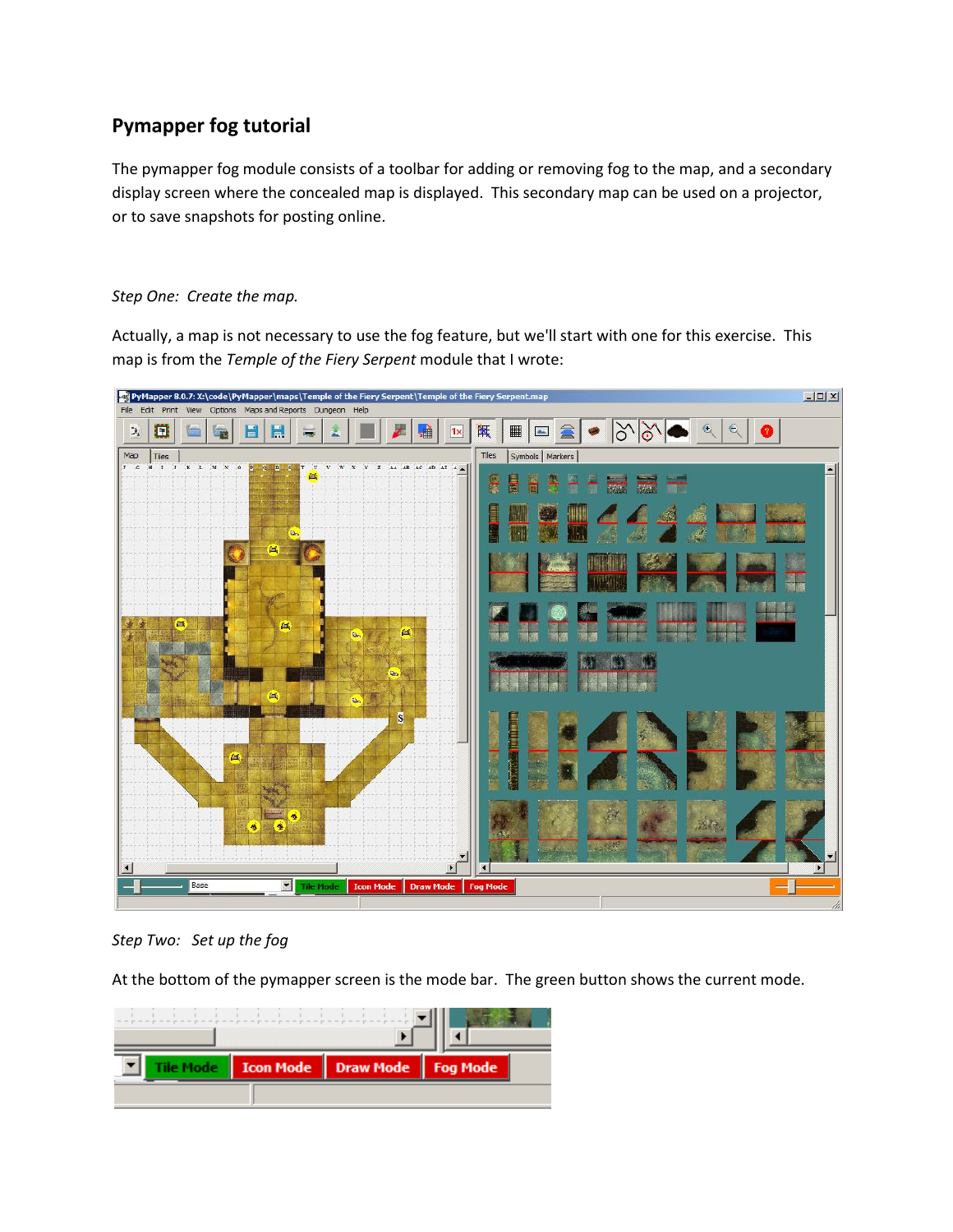## **Pymapper fog tutorial**

The pymapper fog module consists of a toolbar for adding or removing fog to the map, and a secondary display screen where the concealed map is displayed. This secondary map can be used on a projector, or to save snapshots for posting online.

## *Step One: Create the map.*

Actually, a map is not necessary to use the fog feature, but we'll start with one for this exercise. This map is from the *Temple of the Fiery Serpent* module that I wrote:



*Step Two: Set up the fog*

At the bottom of the pymapper screen is the mode bar. The green button shows the current mode.

|  | Icon Mode   Draw Mode   Fog Mode |  |
|--|----------------------------------|--|
|  |                                  |  |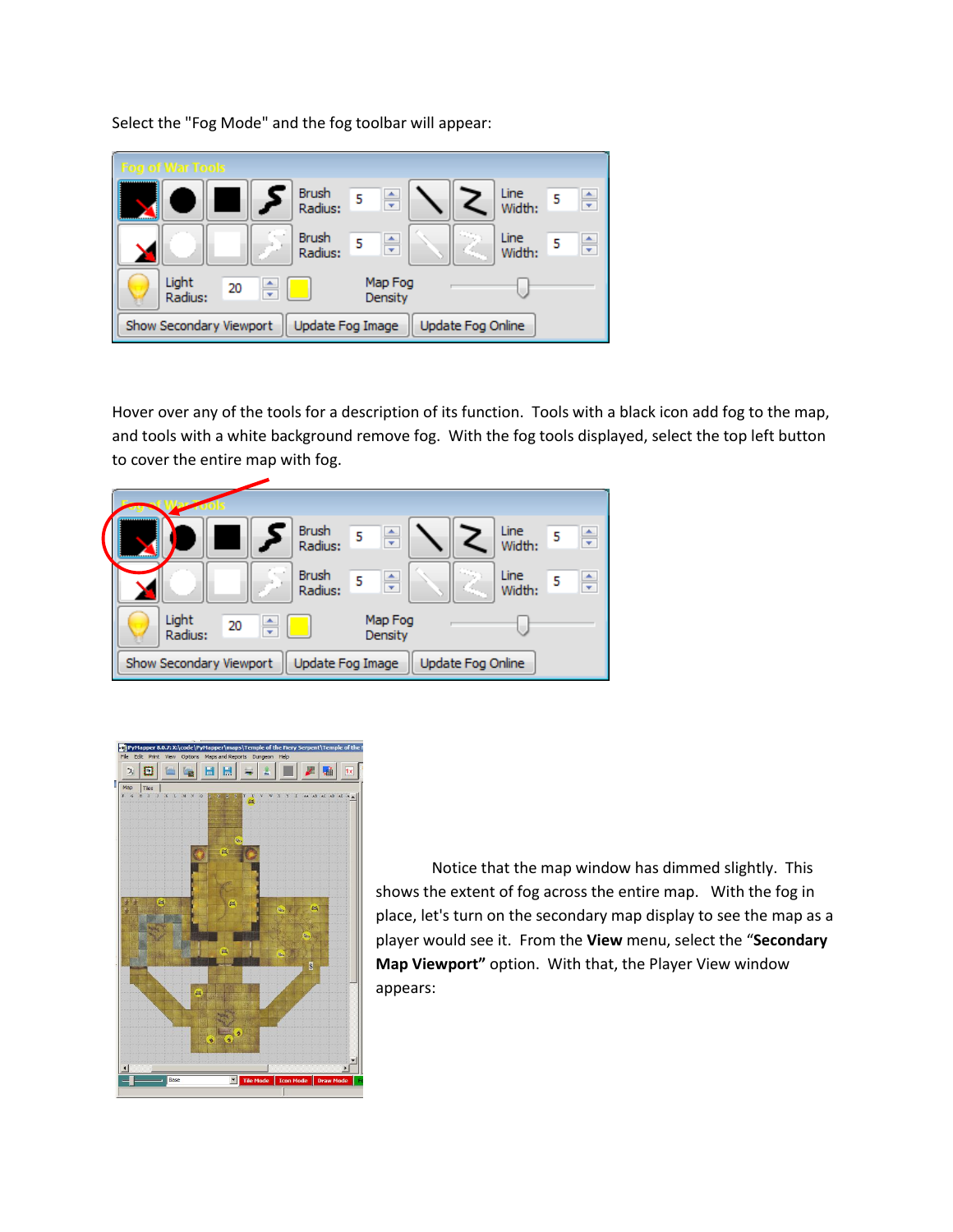Select the "Fog Mode" and the fog toolbar will appear:



Hover over any of the tools for a description of its function. Tools with a black icon add fog to the map, and tools with a white background remove fog. With the fog tools displayed, select the top left button to cover the entire map with fog.





Notice that the map window has dimmed slightly. This shows the extent of fog across the entire map. With the fog in place, let's turn on the secondary map display to see the map as a player would see it. From the **View** menu, select the "**Secondary Map Viewport"** option. With that, the Player View window appears: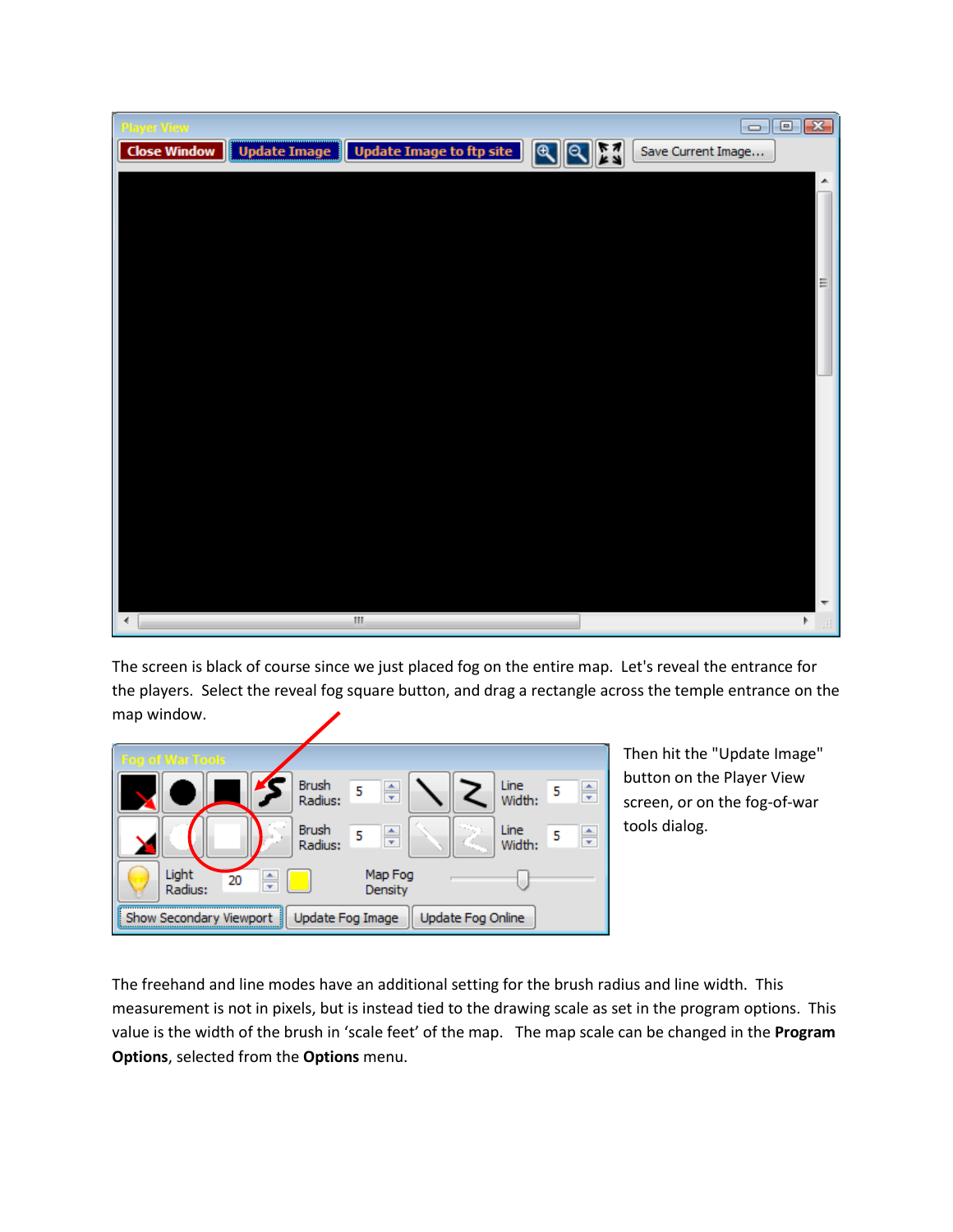| <b>Player View</b>                                                              | $\Box$ $\Box$ $\Box$ |
|---------------------------------------------------------------------------------|----------------------|
| Duplate Image   Update Image to ftp site       Q   K   Q<br><b>Close Window</b> | Save Current Image   |
|                                                                                 |                      |
|                                                                                 |                      |
|                                                                                 |                      |
|                                                                                 |                      |
|                                                                                 | Ξ                    |
|                                                                                 |                      |
|                                                                                 |                      |
|                                                                                 |                      |
|                                                                                 |                      |
|                                                                                 |                      |
|                                                                                 |                      |
|                                                                                 |                      |
|                                                                                 |                      |
|                                                                                 |                      |
|                                                                                 |                      |
|                                                                                 |                      |
|                                                                                 | ┯                    |
| H)<br>∢                                                                         | Þ<br>$\mathcal{A}$   |

The screen is black of course since we just placed fog on the entire map. Let's reveal the entrance for the players. Select the reveal fog square button, and drag a rectangle across the temple entrance on the map window.



Then hit the "Update Image" button on the Player View screen, or on the fog-of-war tools dialog.

The freehand and line modes have an additional setting for the brush radius and line width. This measurement is not in pixels, but is instead tied to the drawing scale as set in the program options. This value is the width of the brush in 'scale feet' of the map. The map scale can be changed in the **Program Options**, selected from the **Options** menu.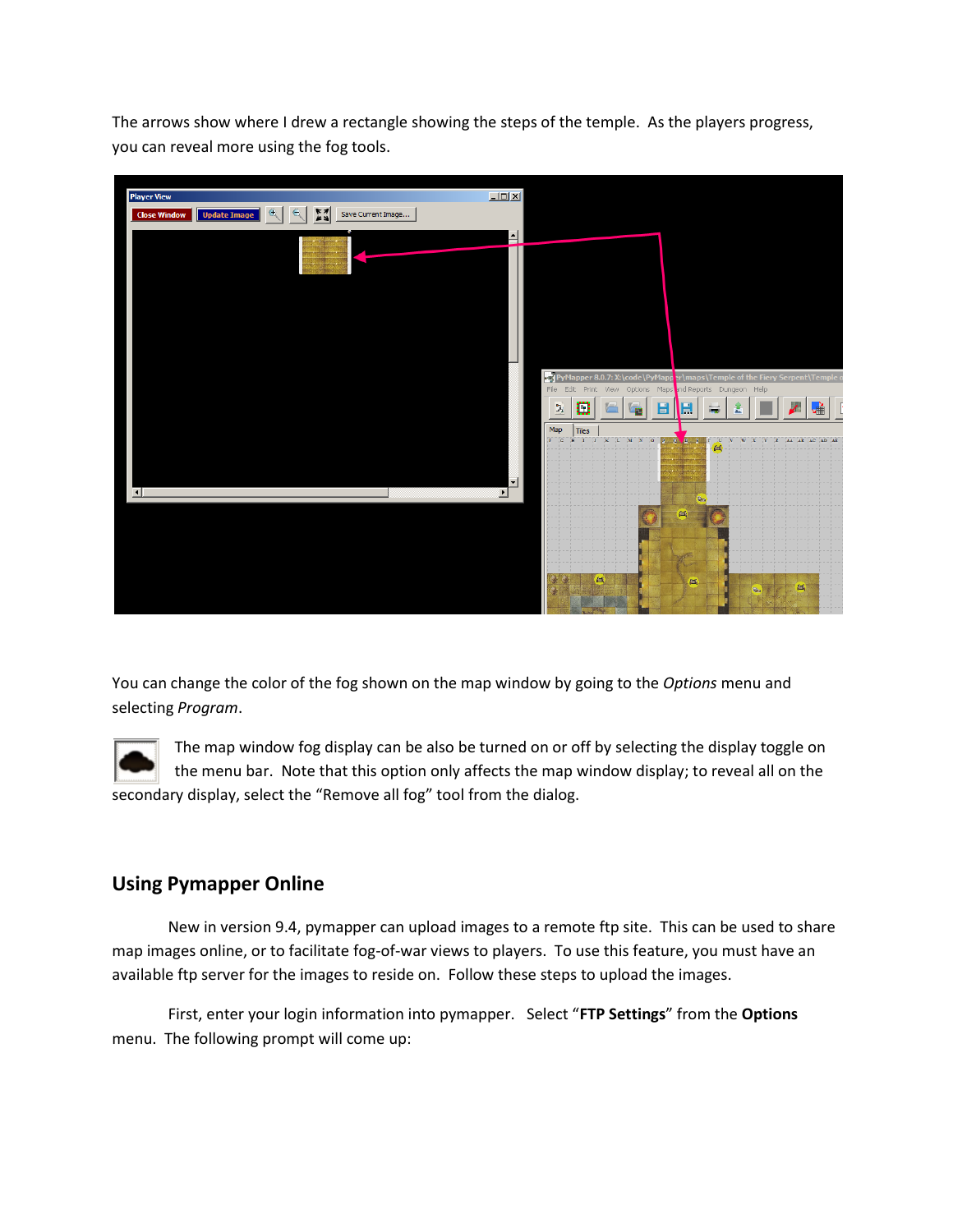The arrows show where I drew a rectangle showing the steps of the temple. As the players progress, you can reveal more using the fog tools.



You can change the color of the fog shown on the map window by going to the *Options* menu and selecting *Program*.

The map window fog display can be also be turned on or off by selecting the display toggle on the menu bar. Note that this option only affects the map window display; to reveal all on the secondary display, select the "Remove all fog" tool from the dialog.

## **Using Pymapper Online**

New in version 9.4, pymapper can upload images to a remote ftp site. This can be used to share map images online, or to facilitate fog-of-war views to players. To use this feature, you must have an available ftp server for the images to reside on. Follow these steps to upload the images.

First, enter your login information into pymapper. Select "**FTP Settings**" from the **Options** menu. The following prompt will come up: